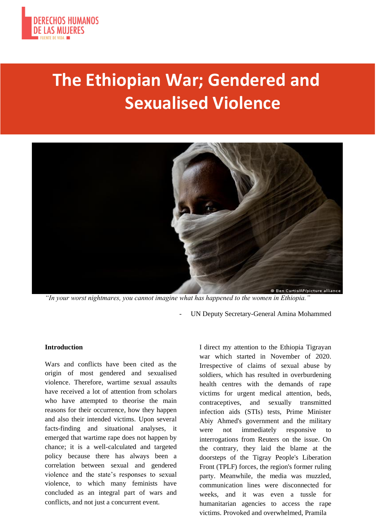

# **The Ethiopian War; Gendered and Sexualised Violence**



*"In your worst nightmares, you cannot imagine what has happened to the women in Ethiopia."*

- UN Deputy Secretary-General Amina Mohammed

#### **Introduction**

Wars and conflicts have been cited as the origin of most gendered and sexualised violence. Therefore, wartime sexual assaults have received a lot of attention from scholars who have attempted to theorise the main reasons for their occurrence, how they happen and also their intended victims. Upon several facts-finding and situational analyses, it emerged that wartime rape does not happen by chance; it is a well-calculated and targeted policy because there has always been a correlation between sexual and gendered violence and the state's responses to sexual violence, to which many feminists have concluded as an integral part of wars and conflicts, and not just a concurrent event.

I direct my attention to the Ethiopia Tigrayan war which started in November of 2020. Irrespective of claims of sexual abuse by soldiers, which has resulted in overburdening health centres with the demands of rape victims for urgent medical attention, beds, contraceptives, and sexually transmitted infection aids (STIs) tests, Prime Minister Abiy Ahmed's government and the military were not immediately responsive to interrogations from Reuters on the issue. On the contrary, they laid the blame at the doorsteps of the Tigray People's Liberation Front (TPLF) forces, the region's former ruling party. Meanwhile, the media was muzzled, communication lines were disconnected for weeks, and it was even a tussle for humanitarian agencies to access the rape victims. Provoked and overwhelmed, Pramila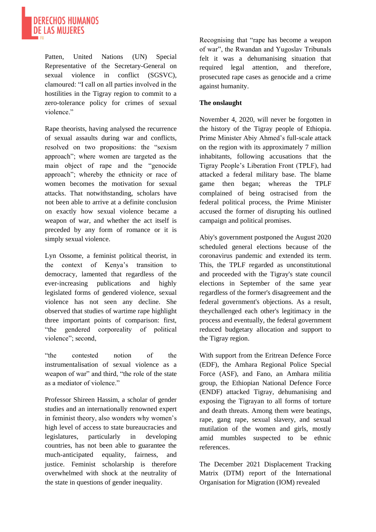

Patten, United Nations (UN) Special Representative of the Secretary-General on sexual violence in conflict (SGSVC), clamoured: "I call on all parties involved in the hostilities in the Tigray region to commit to a zero-tolerance policy for crimes of sexual violence."

Rape theorists, having analysed the recurrence of sexual assaults during war and conflicts, resolved on two propositions: the "sexism approach"; where women are targeted as the main object of rape and the "genocide approach"; whereby the ethnicity or race of women becomes the motivation for sexual attacks. That notwithstanding, scholars have not been able to arrive at a definite conclusion on exactly how sexual violence became a weapon of war, and whether the act itself is preceded by any form of romance or it is simply sexual violence.

Lyn Ossome, a feminist political theorist, in the context of Kenya's transition to democracy, lamented that regardless of the ever-increasing publications and highly legislated forms of gendered violence, sexual violence has not seen any decline. She observed that studies of wartime rape highlight three important points of comparison: first, "the gendered corporeality of political violence"; second,

"the contested notion of the instrumentalisation of sexual violence as a weapon of war" and third, "the role of the state as a mediator of violence."

Professor Shireen Hassim, a scholar of gender studies and an internationally renowned expert in feminist theory, also wonders why women's high level of access to state bureaucracies and legislatures, particularly in developing countries, has not been able to guarantee the much-anticipated equality, fairness, and justice. Feminist scholarship is therefore overwhelmed with shock at the neutrality of the state in questions of gender inequality.

Recognising that "rape has become a weapon of war", the Rwandan and Yugoslav Tribunals felt it was a dehumanising situation that required legal attention, and therefore, prosecuted rape cases as genocide and a crime against humanity.

#### **The onslaught**

November 4, 2020, will never be forgotten in the history of the Tigray people of Ethiopia. Prime Minister Abiy Ahmed's full-scale attack on the region with its approximately 7 million inhabitants, following accusations that the Tigray People's Liberation Front (TPLF), had attacked a federal military base. The blame game then began; whereas the TPLF complained of being ostracised from the federal political process, the Prime Minister accused the former of disrupting his outlined campaign and political promises.

Abiy's government postponed the August 2020 scheduled general elections because of the coronavirus pandemic and extended its term. This, the TPLF regarded as unconstitutional and proceeded with the Tigray's state council elections in September of the same year regardless of the former's disagreement and the federal government's objections. As a result, theychallenged each other's legitimacy in the process and eventually, the federal government reduced budgetary allocation and support to the Tigray region.

With support from the Eritrean Defence Force (EDF), the Amhara Regional Police Special Force (ASF), and Fano, an Amhara militia group, the Ethiopian National Defence Force (ENDF) attacked Tigray, dehumanising and exposing the Tigrayan to all forms of torture and death threats. Among them were beatings, rape, gang rape, sexual slavery, and sexual mutilation of the women and girls, mostly amid mumbles suspected to be ethnic references.

The December 2021 Displacement Tracking Matrix (DTM) report of the International Organisation for Migration (IOM) revealed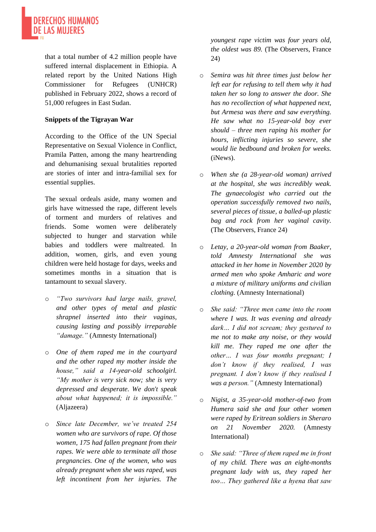

that a total number of 4.2 million people have suffered internal displacement in Ethiopia. A related report by the United Nations High Commissioner for Refugees (UNHCR) published in February 2022, shows a record of 51,000 refugees in East Sudan.

### **Snippets of the Tigrayan War**

According to the Office of the UN Special Representative on Sexual Violence in Conflict, Pramila Patten, among the many heartrending and dehumanising sexual brutalities reported are stories of inter and intra-familial sex for essential supplies.

The sexual ordeals aside, many women and girls have witnessed the rape, different levels of torment and murders of relatives and friends. Some women were deliberately subjected to hunger and starvation while babies and toddlers were maltreated. In addition, women, girls, and even young children were held hostage for days, weeks and sometimes months in a situation that is tantamount to sexual slavery.

- o *"Two survivors had large nails, gravel, and other types of metal and plastic shrapnel inserted into their vaginas, causing lasting and possibly irreparable "damage."* (Amnesty International)
- o *One of them raped me in the courtyard and the other raped my mother inside the house," said a 14-year-old schoolgirl. "My mother is very sick now; she is very depressed and desperate. We don't speak about what happened; it is impossible."*  (Aljazeera)
- o *Since late December, we've treated 254 women who are survivors of rape. Of those women, 175 had fallen pregnant from their rapes. We were able to terminate all those pregnancies. One of the women, who was already pregnant when she was raped, was left incontinent from her injuries. The*

*youngest rape victim was four years old, the oldest was 89.* (The Observers, France 24)

- o *Semira was hit three times just below her left ear for refusing to tell them why it had taken her so long to answer the door. She has no recollection of what happened next, but Armesa was there and saw everything. He saw what no 15-year-old boy ever should – three men raping his mother for hours, inflicting injuries so severe, she would lie bedbound and broken for weeks.*  (iNews).
- o *When she (a 28-year-old woman) arrived at the hospital, she was incredibly weak. The gynaecologist who carried out the operation successfully removed two nails, several pieces of tissue, a balled-up plastic bag and rock from her vaginal cavity.*  (The Observers, France 24)
- o *Letay, a 20-year-old woman from Baaker, told Amnesty International she was attacked in her home in November 2020 by armed men who spoke Amharic and wore a mixture of military uniforms and civilian clothing.* (Amnesty International)
- o *She said: "Three men came into the room where I was. It was evening and already dark… I did not scream; they gestured to me not to make any noise, or they would kill me. They raped me one after the other… I was four months pregnant; I don't know if they realised, I was pregnant. I don't know if they realised I was a person."* (Amnesty International)
- o *Nigist, a 35-year-old mother-of-two from Humera said she and four other women were raped by Eritrean soldiers in Sheraro on 21 November 2020.* (Amnesty International)
- o *She said: "Three of them raped me in front of my child. There was an eight-months pregnant lady with us, they raped her too… They gathered like a hyena that saw*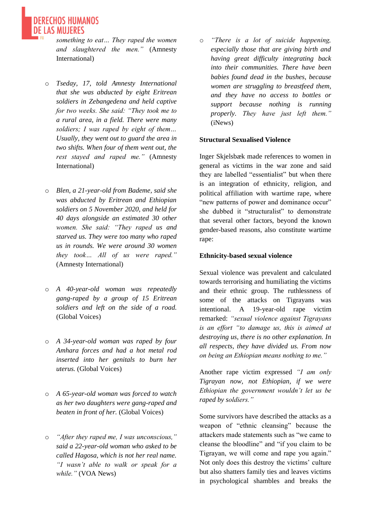*something to eat… They raped the women and slaughtered the men."* (Amnesty International)

**DERECHOS HUMANOS** 

- o *Tseday, 17, told Amnesty International that she was abducted by eight Eritrean soldiers in Zebangedena and held captive for two weeks. She said: "They took me to a rural area, in a field. There were many soldiers; I was raped by eight of them… Usually, they went out to guard the area in two shifts. When four of them went out, the rest stayed and raped me."* (Amnesty International)
- o *Blen, a 21-year-old from Bademe, said she was abducted by Eritrean and Ethiopian soldiers on 5 November 2020, and held for 40 days alongside an estimated 30 other women. She said: "They raped us and starved us. They were too many who raped us in rounds. We were around 30 women they took… All of us were raped."* (Amnesty International)
- o *A 40-year-old woman was repeatedly gang-raped by a group of 15 Eritrean soldiers and left on the side of a road.*  (Global Voices)
- o *A 34-year-old woman was raped by four Amhara forces and had a hot metal rod inserted into her genitals to burn her uterus.* (Global Voices)
- o *A 65-year-old woman was forced to watch as her two daughters were gang-raped and beaten in front of her.* (Global Voices)
- o *"After they raped me, I was unconscious," said a 22-year-old woman who asked to be called Hagosa, which is not her real name. "I wasn't able to walk or speak for a while."* (VOA News)

o *"There is a lot of suicide happening, especially those that are giving birth and having great difficulty integrating back into their communities. There have been babies found dead in the bushes, because women are struggling to breastfeed them, and they have no access to bottles or support because nothing is running properly. They have just left them."*  (iNews)

#### **Structural Sexualised Violence**

Inger Skjelsbæk made references to women in general as victims in the war zone and said they are labelled "essentialist" but when there is an integration of ethnicity, religion, and political affiliation with wartime rape, where "new patterns of power and dominance occur" she dubbed it "structuralist" to demonstrate that several other factors, beyond the known gender-based reasons, also constitute wartime rape:

#### **Ethnicity-based sexual violence**

Sexual violence was prevalent and calculated towards terrorising and humiliating the victims and their ethnic group. The ruthlessness of some of the attacks on Tigrayans was intentional. A 19-year-old rape victim remarked: *"sexual violence against Tigrayans is an effort "to damage us, this is aimed at destroying us, there is no other explanation. In all respects, they have divided us. From now on being an Ethiopian means nothing to me."*

Another rape victim expressed *"I am only Tigrayan now, not Ethiopian, if we were Ethiopian the government wouldn't let us be raped by soldiers."*

Some survivors have described the attacks as a weapon of "ethnic cleansing" because the attackers made statements such as "we came t[o](https://www.cnn.com/2021/03/23/africa/ethiopia-rape-abuse-abiy-response-intl/index.html) [cleanse the bloodline"](https://www.cnn.com/2021/03/23/africa/ethiopia-rape-abuse-abiy-response-intl/index.html) and ["if you claim to be](https://www.cnn.com/2021/03/23/africa/ethiopia-rape-abuse-abiy-response-intl/index.html)  [Tigrayan, we will come and rape you again."](https://www.cnn.com/2021/03/23/africa/ethiopia-rape-abuse-abiy-response-intl/index.html) Not only does this destroy the victims' culture but also shatters family ties and leaves victims in psychological shambles and breaks the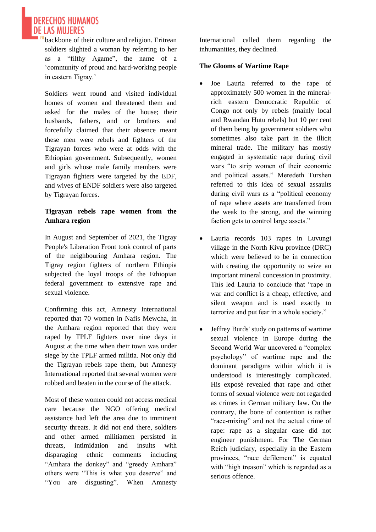**DE LAS MUJERES** backbone of their culture and religion. Eritrean soldiers slighted a woman by referring to her as a "filthy Agame", the name of a 'community of proud and hard-working people in eastern Tigray.'

**DERECHOS HUMANOS** 

Soldiers went round and visited individual homes of women and threatened them and asked for the males of the house; their husbands, fathers, and or brothers and forcefully claimed that their absence meant these men were rebels and fighters of the Tigrayan forces who were at odds with the Ethiopian government. Subsequently, women and girls whose male family members were Tigrayan fighters were targeted by the EDF, and wives of ENDF soldiers were also targeted by Tigrayan forces.

## **Tigrayan rebels rape women from the Amhara region**

In August and September of 2021, the Tigray People's Liberation Front took control of parts of the neighbouring Amhara region. The Tigray region fighters of northern Ethiopia subjected the loyal troops of the Ethiopian federal government to extensive rape and sexual violence.

Confirming this act, Amnesty International reported that 70 women in Nafis Mewcha, in the Amhara region reported that they were raped by TPLF fighters over nine days in August at the time when their town was under siege by the TPLF armed militia. Not only did the Tigrayan rebels rape them, but Amnesty International reported that several women were robbed and beaten in the course of the attack.

Most of these women could not access medical care because the NGO offering medical assistance had left the area due to imminent security threats. It did not end there, soldiers and other armed militiamen persisted in threats, intimidation and insults with disparaging ethnic comments including "Amhara the donkey" and "greedy Amhara" others were "This is what you deserve" and "You are disgusting". When Amnesty International called them regarding the inhumanities, they declined.

### **The Glooms of Wartime Rape**

- Joe Lauria referred to the rape of approximately 500 women in the mineralrich eastern Democratic Republic of Congo not only by rebels (mainly local and Rwandan Hutu rebels) but 10 per cent of them being by government soldiers who sometimes also take part in the illicit mineral trade. The military has mostly engaged in systematic rape during civil wars "to strip women of their economic and political assets." Meredeth Turshen referred to this idea of sexual assaults during civil wars as a "political economy of rape where assets are transferred from the weak to the strong, and the winning faction gets to control large assets."
- Lauria records 103 rapes in Luvungi village in the North Kivu province (DRC) which were believed to be in connection with creating the opportunity to seize an important mineral concession in proximity. This led Lauria to conclude that "rape in war and conflict is a cheap, effective, and silent weapon and is used exactly to terrorize and put fear in a whole society."
- Jeffrey Burds' study on patterns of wartime sexual violence in Europe during the Second World War uncovered a "complex psychology" of wartime rape and the dominant paradigms within which it is understood is interestingly complicated. His exposé revealed that rape and other forms of sexual violence were not regarded as crimes in German military law. On the contrary, the bone of contention is rather "race-mixing" and not the actual crime of rape: rape as a singular case did not engineer punishment. For The German Reich judiciary, especially in the Eastern provinces, "race defilement" is equated with "high treason" which is regarded as a serious offence.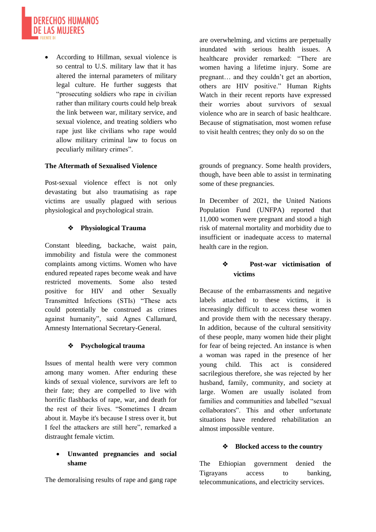

• According to Hillman, sexual violence is so central to U.S. military law that it has altered the internal parameters of military legal culture. He further suggests that "prosecuting soldiers who rape in civilian rather than military courts could help break the link between war, military service, and sexual violence, and treating soldiers who rape just like civilians who rape would allow military criminal law to focus on peculiarly military crimes".

#### **The Aftermath of Sexualised Violence**

Post-sexual violence effect is not only devastating but also traumatising as rape victims are usually plagued with serious physiological and psychological strain.

#### ❖ **Physiological Trauma**

Constant bleeding, backache, waist pain, immobility and fistula were the commonest complaints among victims. Women who have endured repeated rapes become weak and have restricted movements. Some also tested positive for HIV and other Sexually Transmitted Infections (STIs) "These acts could potentially be construed as crimes against humanity", said Agnes Callamard, Amnesty International Secretary-General.

#### ❖ **Psychological trauma**

Issues of mental health were very common among many women. After enduring these kinds of sexual violence, survivors are left to their fate; they are compelled to live with horrific flashbacks of rape, war, and death for the rest of their lives. "Sometimes I dream about it. Maybe it's because I stress over it, but I feel the attackers are still here", remarked a distraught female victim.

#### • **Unwanted pregnancies and social shame**

The demoralising results of rape and gang rape

are overwhelming, and victims are perpetually inundated with serious health issues. A healthcare provider remarked: "There are women having a lifetime injury. Some are pregnant… and they couldn't get an abortion, others are HIV positive." Human Rights Watch in their recent reports have expressed their worries about survivors of sexual violence who are in search of basic healthcare. Because of stigmatisation, most women refuse to visit health centres; they only do so on the

grounds of pregnancy. Some health providers, though, have been able to assist in terminating some of these pregnancies.

In December of 2021, the United Nations Population Fund (UNFPA) reported that 11,000 women were pregnant and stood a high risk of maternal mortality and morbidity due to insufficient or inadequate access to maternal health care in the region.

### ❖ **Post-war victimisation of victims**

Because of the embarrassments and negative labels attached to these victims, it is increasingly difficult to access these women and provide them with the necessary therapy. In addition, because of the cultural sensitivity of these people, many women hide their plight for fear of being rejected. An instance is when a woman was raped in the presence of her young child. This act is considered sacrilegious therefore, she was rejected by her husband, family, community, and society at large. Women are usually isolated from families and communities and labelled "sexual collaborators". This and other unfortunate situations have rendered rehabilitation an almost impossible venture.

#### ❖ **Blocked access to the country**

The Ethiopian government denied the Tigrayans access to banking, telecommunications, and electricity services.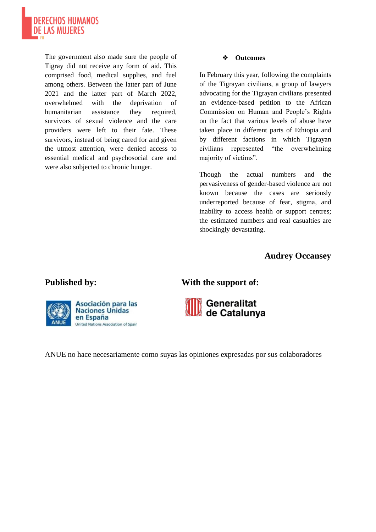

The government also made sure the people of Tigray did not receive any form of aid. This comprised food, medical supplies, and fuel among others. Between the latter part of June 2021 and the latter part of March 2022, overwhelmed with the deprivation of humanitarian assistance they required, survivors of sexual violence and the care providers were left to their fate. These survivors, instead of being cared for and given the utmost attention, were denied access to essential medical and psychosocial care and were also subjected to chronic hunger.

#### ❖ **Outcomes**

In February this year, following the complaints of the Tigrayan civilians, a group of lawyers advocating for the Tigrayan civilians presented an evidence-based petition to the African Commission on Human and People's Rights on the fact that various levels of abuse have taken place in different parts of Ethiopia and by different factions in which Tigrayan civilians represented "the overwhelming majority of victims".

Though the actual numbers and the pervasiveness of gender-based violence are not known because the cases are seriously underreported because of fear, stigma, and inability to access health or support centres; the estimated numbers and real casualties are shockingly devastating.

# **Audrey Occansey**



# Published by: **With the support of:**



ANUE no hace necesariamente como suyas las opiniones expresadas por sus colaboradores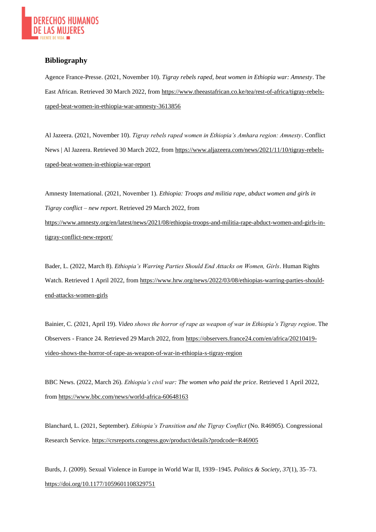

#### **Bibliography**

Agence France-Presse. (2021, November 10). *Tigray rebels raped, beat women in Ethiopia war: Amnesty*. The East African. Retrieved 30 March 2022, fro[m https://www.theeastafrican.co.ke/tea/rest-of-africa/tigray-rebels](https://www.theeastafrican.co.ke/tea/rest-of-africa/tigray-rebels-raped-beat-women-in-ethiopia-war-amnesty-3613856)[raped-beat-women-in-ethiopia-war-amnesty-3613856](https://www.theeastafrican.co.ke/tea/rest-of-africa/tigray-rebels-raped-beat-women-in-ethiopia-war-amnesty-3613856)

Al Jazeera. (2021, November 10). *Tigray rebels raped women in Ethiopia's Amhara region: Amnesty*. Conflict News | Al Jazeera. Retrieved 30 March 2022, from [https://www.aljazeera.com/news/2021/11/10/tigray-rebels](https://www.aljazeera.com/news/2021/11/10/tigray-rebels-raped-beat-women-in-ethiopia-war-report)[raped-beat-women-in-ethiopia-war-report](https://www.aljazeera.com/news/2021/11/10/tigray-rebels-raped-beat-women-in-ethiopia-war-report)

Amnesty International. (2021, November 1). *Ethiopia: Troops and militia rape, abduct women and girls in Tigray conflict – new report*. Retrieved 29 March 2022, from [https://www.amnesty.org/en/latest/news/2021/08/ethiopia-troops-and-militia-rape-abduct-women-and-girls-in](https://www.amnesty.org/en/latest/news/2021/08/ethiopia-troops-and-militia-rape-abduct-women-and-girls-in-tigray-conflict-new-report/)[tigray-conflict-new-report/](https://www.amnesty.org/en/latest/news/2021/08/ethiopia-troops-and-militia-rape-abduct-women-and-girls-in-tigray-conflict-new-report/)

Bader, L. (2022, March 8). *Ethiopia's Warring Parties Should End Attacks on Women, Girls*. Human Rights Watch. Retrieved 1 April 2022, from [https://www.hrw.org/news/2022/03/08/ethiopias-warring-parties-should](https://www.hrw.org/news/2022/03/08/ethiopias-warring-parties-should-end-attacks-women-girls)[end-attacks-women-girls](https://www.hrw.org/news/2022/03/08/ethiopias-warring-parties-should-end-attacks-women-girls)

Bainier, C. (2021, April 19). *Video shows the horror of rape as weapon of war in Ethiopia's Tigray region*. The Observers - France 24. Retrieved 29 March 2022, from [https://observers.france24.com/en/africa/20210419](https://observers.france24.com/en/africa/20210419-video-shows-the-horror-of-rape-as-weapon-of-war-in-ethiopia-s-tigray-region) [video-shows-the-horror-of-rape-as-weapon-of-war-in-ethiopia-s-tigray-region](https://observers.france24.com/en/africa/20210419-video-shows-the-horror-of-rape-as-weapon-of-war-in-ethiopia-s-tigray-region)

BBC News. (2022, March 26). *Ethiopia's civil war: The women who paid the price*. Retrieved 1 April 2022, from<https://www.bbc.com/news/world-africa-60648163>

Blanchard, L. (2021, September). *Ethiopia's Transition and the Tigray Conflict* (No. R46905). Congressional Research Service.<https://crsreports.congress.gov/product/details?prodcode=R46905>

Burds, J. (2009). Sexual Violence in Europe in World War II, 1939–1945. *Politics & Society*, *37*(1), 35–73. <https://doi.org/10.1177/1059601108329751>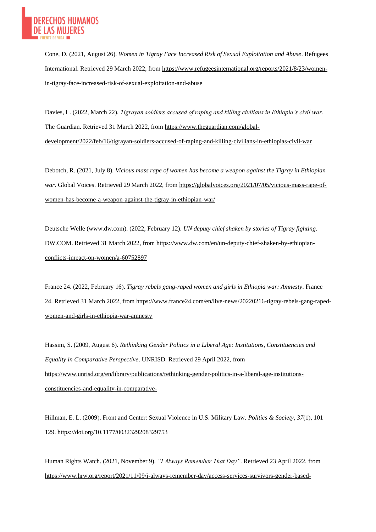

Cone, D. (2021, August 26). *Women in Tigray Face Increased Risk of Sexual Exploitation and Abuse*. Refugees International. Retrieved 29 March 2022, from [https://www.refugeesinternational.org/reports/2021/8/23/women](https://www.refugeesinternational.org/reports/2021/8/23/women-in-tigray-face-increased-risk-of-sexual-exploitation-and-abuse)[in-tigray-face-increased-risk-of-sexual-exploitation-and-abuse](https://www.refugeesinternational.org/reports/2021/8/23/women-in-tigray-face-increased-risk-of-sexual-exploitation-and-abuse)

Davies, L. (2022, March 22). *Tigrayan soldiers accused of raping and killing civilians in Ethiopia's civil war*. The Guardian. Retrieved 31 March 2022, fro[m https://www.theguardian.com/global](https://www.theguardian.com/global-development/2022/feb/16/tigrayan-soldiers-accused-of-raping-and-killing-civilians-in-ethiopias-civil-war)[development/2022/feb/16/tigrayan-soldiers-accused-of-raping-and-killing-civilians-in-ethiopias-civil-war](https://www.theguardian.com/global-development/2022/feb/16/tigrayan-soldiers-accused-of-raping-and-killing-civilians-in-ethiopias-civil-war)

Debotch, R. (2021, July 8). *Vicious mass rape of women has become a weapon against the Tigray in Ethiopian war*. Global Voices. Retrieved 29 March 2022, from [https://globalvoices.org/2021/07/05/vicious-mass-rape-of](https://globalvoices.org/2021/07/05/vicious-mass-rape-of-women-has-become-a-weapon-against-the-tigray-in-ethiopian-war/)[women-has-become-a-weapon-against-the-tigray-in-ethiopian-war/](https://globalvoices.org/2021/07/05/vicious-mass-rape-of-women-has-become-a-weapon-against-the-tigray-in-ethiopian-war/)

Deutsche Welle (www.dw.com). (2022, February 12). *UN deputy chief shaken by stories of Tigray fighting*. DW.COM. Retrieved 31 March 2022, fro[m https://www.dw.com/en/un-deputy-chief-shaken-by-ethiopian](https://www.dw.com/en/un-deputy-chief-shaken-by-ethiopian-conflicts-impact-on-women/a-60752897)[conflicts-impact-on-women/a-60752897](https://www.dw.com/en/un-deputy-chief-shaken-by-ethiopian-conflicts-impact-on-women/a-60752897)

France 24. (2022, February 16). *Tigray rebels gang-raped women and girls in Ethiopia war: Amnesty*. France 24. Retrieved 31 March 2022, fro[m https://www.france24.com/en/live-news/20220216-tigray-rebels-gang-raped](https://www.france24.com/en/live-news/20220216-tigray-rebels-gang-raped-women-and-girls-in-ethiopia-war-amnesty)[women-and-girls-in-ethiopia-war-amnesty](https://www.france24.com/en/live-news/20220216-tigray-rebels-gang-raped-women-and-girls-in-ethiopia-war-amnesty)

Hassim, S. (2009, August 6). *Rethinking Gender Politics in a Liberal Age: Institutions, Constituencies and Equality in Comparative Perspective*. UNRISD. Retrieved 29 April 2022, from [https://www.unrisd.org/en/library/publications/rethinking-gender-politics-in-a-liberal-age-institutions](https://www.unrisd.org/en/library/publications/rethinking-gender-politics-in-a-liberal-age-institutions-constituencies-and-equality-in-comparative-)[constituencies-and-equality-in-comparative-](https://www.unrisd.org/en/library/publications/rethinking-gender-politics-in-a-liberal-age-institutions-constituencies-and-equality-in-comparative-)

Hillman, E. L. (2009). Front and Center: Sexual Violence in U.S. Military Law. *Politics & Society*, *37*(1), 101– 129.<https://doi.org/10.1177/0032329208329753>

Human Rights Watch. (2021, November 9). *"I Always Remember That Day"*. Retrieved 23 April 2022, from [https://www.hrw.org/report/2021/11/09/i-always-remember-day/access-services-survivors-gender-based-](https://www.hrw.org/report/2021/11/09/i-always-remember-day/access-services-survivors-gender-based-violence-ethiopias)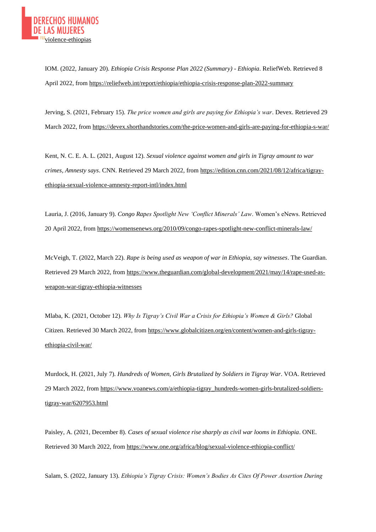IOM. (2022, January 20). *Ethiopia Crisis Response Plan 2022 (Summary) - Ethiopia*. ReliefWeb. Retrieved 8 April 2022, from<https://reliefweb.int/report/ethiopia/ethiopia-crisis-response-plan-2022-summary>

Jerving, S. (2021, February 15). *The price women and girls are paying for Ethiopia's war*. Devex. Retrieved 29 March 2022, fro[m https://devex.shorthandstories.com/the-price-women-and-girls-are-paying-for-ethiopia-s-war/](https://devex.shorthandstories.com/the-price-women-and-girls-are-paying-for-ethiopia-s-war/)

Kent, N. C. E. A. L. (2021, August 12). *Sexual violence against women and girls in Tigray amount to war crimes, Amnesty says*. CNN. Retrieved 29 March 2022, fro[m https://edition.cnn.com/2021/08/12/africa/tigray](https://edition.cnn.com/2021/08/12/africa/tigray-ethiopia-sexual-violence-amnesty-report-intl/index.html)[ethiopia-sexual-violence-amnesty-report-intl/index.html](https://edition.cnn.com/2021/08/12/africa/tigray-ethiopia-sexual-violence-amnesty-report-intl/index.html)

Lauria, J. (2016, January 9). *Congo Rapes Spotlight New 'Conflict Minerals' Law*. Women's eNews. Retrieved 20 April 2022, from<https://womensenews.org/2010/09/congo-rapes-spotlight-new-conflict-minerals-law/>

McVeigh, T. (2022, March 22). *Rape is being used as weapon of war in Ethiopia, say witnesses*. The Guardian. Retrieved 29 March 2022, from [https://www.theguardian.com/global-development/2021/may/14/rape-used-as](https://www.theguardian.com/global-development/2021/may/14/rape-used-as-weapon-war-tigray-ethiopia-witnesses)[weapon-war-tigray-ethiopia-witnesses](https://www.theguardian.com/global-development/2021/may/14/rape-used-as-weapon-war-tigray-ethiopia-witnesses)

Mlaba, K. (2021, October 12). *Why Is Tigray's Civil War a Crisis for Ethiopia's Women & Girls?* Global Citizen. Retrieved 30 March 2022, from [https://www.globalcitizen.org/en/content/women-and-girls-tigray](https://www.globalcitizen.org/en/content/women-and-girls-tigray-ethiopia-civil-war/)[ethiopia-civil-war/](https://www.globalcitizen.org/en/content/women-and-girls-tigray-ethiopia-civil-war/)

Murdock, H. (2021, July 7). *Hundreds of Women, Girls Brutalized by Soldiers in Tigray War*. VOA. Retrieved 29 March 2022, from [https://www.voanews.com/a/ethiopia-tigray\\_hundreds-women-girls-brutalized-soldiers](https://www.voanews.com/a/ethiopia-tigray_hundreds-women-girls-brutalized-soldiers-tigray-war/6207953.html)[tigray-war/6207953.html](https://www.voanews.com/a/ethiopia-tigray_hundreds-women-girls-brutalized-soldiers-tigray-war/6207953.html)

Paisley, A. (2021, December 8). *Cases of sexual violence rise sharply as civil war looms in Ethiopia*. ONE. Retrieved 30 March 2022, from<https://www.one.org/africa/blog/sexual-violence-ethiopia-conflict/>

Salam, S. (2022, January 13). *Ethiopia's Tigray Crisis: Women's Bodies As Cites Of Power Assertion During*